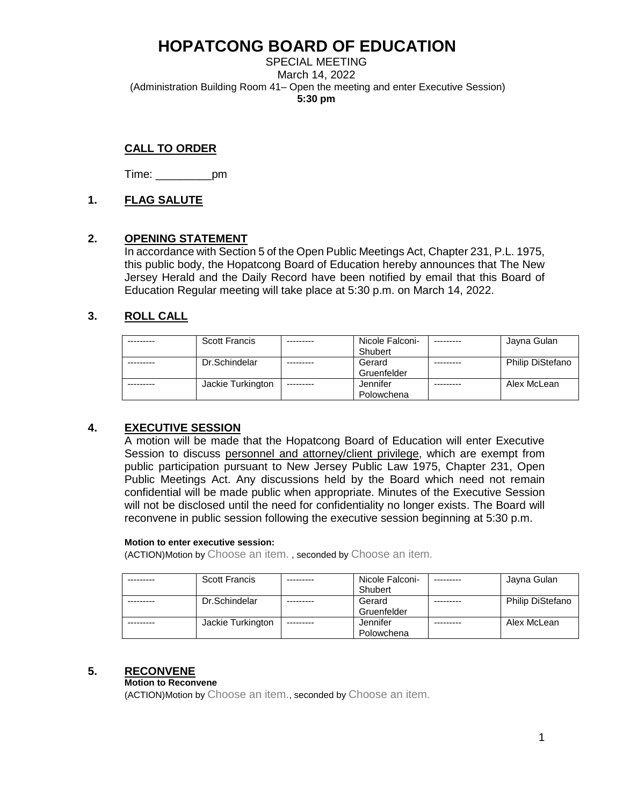SPECIAL MEETING March 14, 2022 (Administration Building Room 41– Open the meeting and enter Executive Session) **5:30 pm**

# **CALL TO ORDER**

Time: \_\_\_\_\_\_\_\_\_pm

# **1. FLAG SALUTE**

# **2. OPENING STATEMENT**

In accordance with Section 5 of the Open Public Meetings Act, Chapter 231, P.L. 1975, this public body, the Hopatcong Board of Education hereby announces that The New Jersey Herald and the Daily Record have been notified by email that this Board of Education Regular meeting will take place at 5:30 p.m. on March 14, 2022.

# **3. ROLL CALL**

| <b>Scott Francis</b> | Nicole Falconi- |           | Jayna Gulan             |
|----------------------|-----------------|-----------|-------------------------|
|                      | Shubert         |           |                         |
| Dr.Schindelar        | Gerard          | --------- | <b>Philip DiStefano</b> |
|                      | Gruenfelder     |           |                         |
| Jackie Turkington    | Jennifer        |           | Alex McLean             |
|                      | Polowchena      |           |                         |

# **4. EXECUTIVE SESSION**

A motion will be made that the Hopatcong Board of Education will enter Executive Session to discuss personnel and attorney/client privilege, which are exempt from public participation pursuant to New Jersey Public Law 1975, Chapter 231, Open Public Meetings Act. Any discussions held by the Board which need not remain confidential will be made public when appropriate. Minutes of the Executive Session will not be disclosed until the need for confidentiality no longer exists. The Board will reconvene in public session following the executive session beginning at 5:30 p.m.

#### **Motion to enter executive session:**

(ACTION)Motion by Choose an item. , seconded by Choose an item.

| <b>Scott Francis</b> | Nicole Falconi- | Jayna Gulan             |
|----------------------|-----------------|-------------------------|
|                      | Shubert         |                         |
| Dr.Schindelar        | Gerard          | <b>Philip DiStefano</b> |
|                      | Gruenfelder     |                         |
| Jackie Turkington    | Jennifer        | Alex McLean             |
|                      | Polowchena      |                         |

# **5. RECONVENE**

#### **Motion to Reconvene**

(ACTION)Motion by Choose an item., seconded by Choose an item.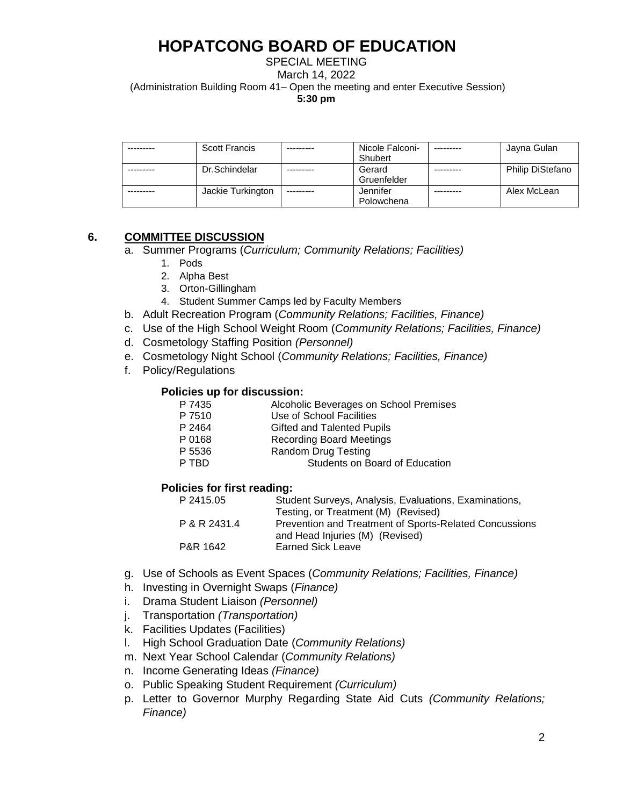SPECIAL MEETING March 14, 2022 (Administration Building Room 41– Open the meeting and enter Executive Session) **5:30 pm**

| Scott Francis     |           | Nicole Falconi- | ---------- | Jayna Gulan      |
|-------------------|-----------|-----------------|------------|------------------|
|                   |           | Shubert         |            |                  |
| Dr.Schindelar     | --------- | Gerard          |            | Philip DiStefano |
|                   |           | Gruenfelder     |            |                  |
| Jackie Turkington | --------- | Jennifer        |            | Alex McLean      |
|                   |           | Polowchena      |            |                  |

#### **6. COMMITTEE DISCUSSION**

- a. Summer Programs (*Curriculum; Community Relations; Facilities)*
	- 1. Pods
	- 2. Alpha Best
	- 3. Orton-Gillingham
	- 4. Student Summer Camps led by Faculty Members
- b. Adult Recreation Program (*Community Relations; Facilities, Finance)*
- c. Use of the High School Weight Room (*Community Relations; Facilities, Finance)*
- d. Cosmetology Staffing Position *(Personnel)*
- e. Cosmetology Night School (*Community Relations; Facilities, Finance)*
- f. Policy/Regulations

#### **Policies up for discussion:**

| P 7435 | Alcoholic Beverages on School Premises |
|--------|----------------------------------------|
| P 7510 | Use of School Facilities               |
| P 2464 | Gifted and Talented Pupils             |
| P 0168 | <b>Recording Board Meetings</b>        |
| P 5536 | Random Drug Testing                    |
| P TRD. | Students on Board of Education         |

#### **Policies for first reading:**

| P 2415.05    | Student Surveys, Analysis, Evaluations, Examinations,                                     |
|--------------|-------------------------------------------------------------------------------------------|
|              | Testing, or Treatment (M) (Revised)                                                       |
| P & R 2431.4 | Prevention and Treatment of Sports-Related Concussions<br>and Head Injuries (M) (Revised) |
| P&R 1642     | <b>Earned Sick Leave</b>                                                                  |
|              |                                                                                           |

- g. Use of Schools as Event Spaces (*Community Relations; Facilities, Finance)*
- h. Investing in Overnight Swaps (*Finance)*
- i. Drama Student Liaison *(Personnel)*
- j. Transportation *(Transportation)*
- k. Facilities Updates (Facilities)
- l. High School Graduation Date (*Community Relations)*
- m. Next Year School Calendar (*Community Relations)*
- n. Income Generating Ideas *(Finance)*
- o. Public Speaking Student Requirement *(Curriculum)*
- p. Letter to Governor Murphy Regarding State Aid Cuts *(Community Relations; Finance)*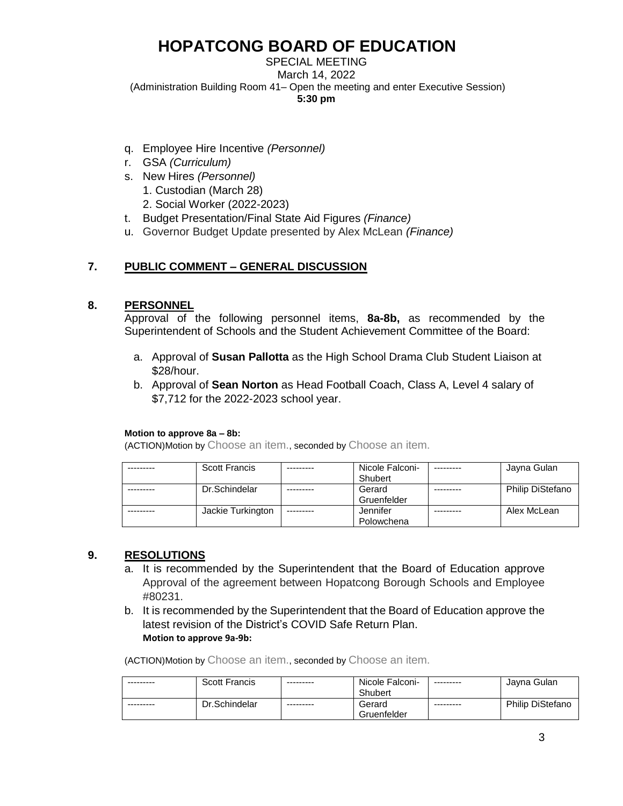#### SPECIAL MEETING March 14, 2022 (Administration Building Room 41– Open the meeting and enter Executive Session) **5:30 pm**

- q. Employee Hire Incentive *(Personnel)*
- r. GSA *(Curriculum)*
- s. New Hires *(Personnel)*
	- 1. Custodian (March 28)
	- 2. Social Worker (2022-2023)
- t. Budget Presentation/Final State Aid Figures *(Finance)*
- u. Governor Budget Update presented by Alex McLean *(Finance)*

# **7. PUBLIC COMMENT – GENERAL DISCUSSION**

#### **8. PERSONNEL**

Approval of the following personnel items, **8a-8b,** as recommended by the Superintendent of Schools and the Student Achievement Committee of the Board:

- a. Approval of **Susan Pallotta** as the High School Drama Club Student Liaison at \$28/hour.
- b. Approval of **Sean Norton** as Head Football Coach, Class A, Level 4 salary of \$7,712 for the 2022-2023 school year.

#### **Motion to approve 8a – 8b:**

(ACTION)Motion by Choose an item., seconded by Choose an item.

| <b>Scott Francis</b> |            | Nicole Falconi- | Jayna Gulan             |
|----------------------|------------|-----------------|-------------------------|
|                      |            | Shubert         |                         |
| Dr.Schindelar        |            | Gerard          | <b>Philip DiStefano</b> |
|                      |            | Gruenfelder     |                         |
| Jackie Turkington    | ---------- | Jennifer        | Alex McLean             |
|                      |            | Polowchena      |                         |

# **9. RESOLUTIONS**

- a. It is recommended by the Superintendent that the Board of Education approve Approval of the agreement between Hopatcong Borough Schools and Employee #80231.
- b. It is recommended by the Superintendent that the Board of Education approve the latest revision of the District's COVID Safe Return Plan. **Motion to approve 9a-9b:**

(ACTION)Motion by Choose an item., seconded by Choose an item.

| --------- | <b>Scott Francis</b> | --------- | Nicole Falconi- | ---------- | Javna Gulan             |
|-----------|----------------------|-----------|-----------------|------------|-------------------------|
|           |                      |           | Shubert         |            |                         |
| --------- | Dr.Schindelar        | --------- | Gerard          | ---------  | <b>Philip DiStefano</b> |
|           |                      |           | Gruenfelder     |            |                         |